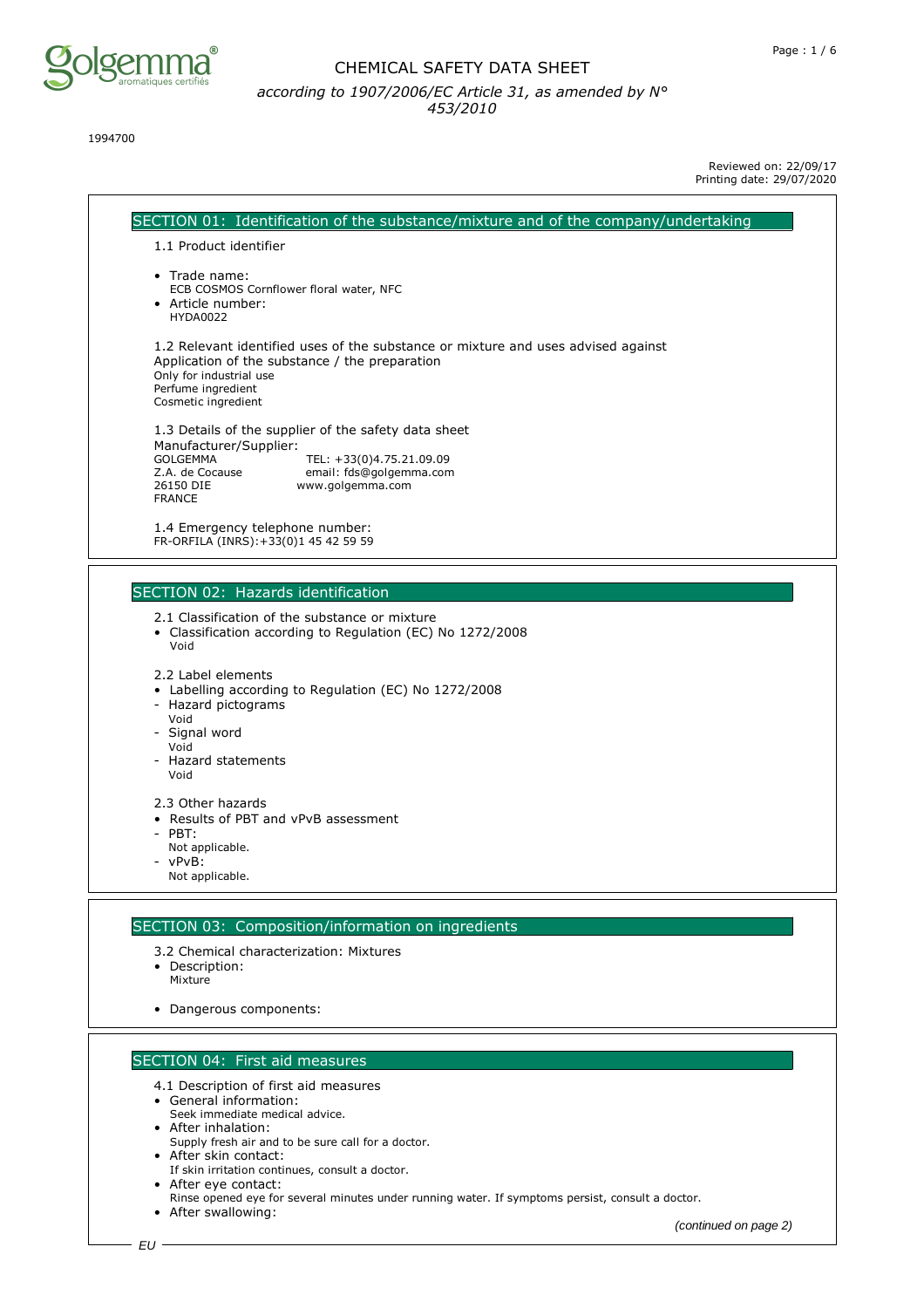

1994700

Reviewed on: 22/09/17 Printing date: 29/07/2020

SECTION 01: Identification of the substance/mixture and of the company/undertaking 1.1 Product identifier • Trade name: ECB COSMOS Cornflower floral water, NFC • Article number: HYDA0022 1.2 Relevant identified uses of the substance or mixture and uses advised against Application of the substance / the preparation Only for industrial use Perfume ingredient Cosmetic ingredient 1.3 Details of the supplier of the safety data sheet Manufacturer/Supplier:<br>GOLGEMMA GOLGEMMA TEL: +33(0)4.75.21.09.09<br>Z.A. de Cocause email: fds@qolgemma.con Z.A. de Cocause email: fds@golgemma.com www.golgemma.com FRANCE 1.4 Emergency telephone number: FR-ORFILA (INRS):+33(0)1 45 42 59 59

## SECTION 02: Hazards identification

- 2.1 Classification of the substance or mixture
- Classification according to Regulation (EC) No 1272/2008 Void

- Labelling according to Regulation (EC) No 1272/2008
- Hazard pictograms
- Void Signal word
- Void
- Hazard statements Void
- 2.3 Other hazards
- Results of PBT and vPvB assessment
- PBT:
- Not applicable.
- vPvB: Not applicable.

### SECTION 03: Composition/information on ingredients

- 3.2 Chemical characterization: Mixtures
- Description:
- Mixture
- Dangerous components:

## SECTION 04: First aid measures

- 4.1 Description of first aid measures
- General information:
- Seek immediate medical advice.
- After inhalation: Supply fresh air and to be sure call for a doctor.
- After skin contact:
- If skin irritation continues, consult a doctor.
- After eye contact:
- Rinse opened eye for several minutes under running water. If symptoms persist, consult a doctor.
- After swallowing:

<sup>2.2</sup> Label elements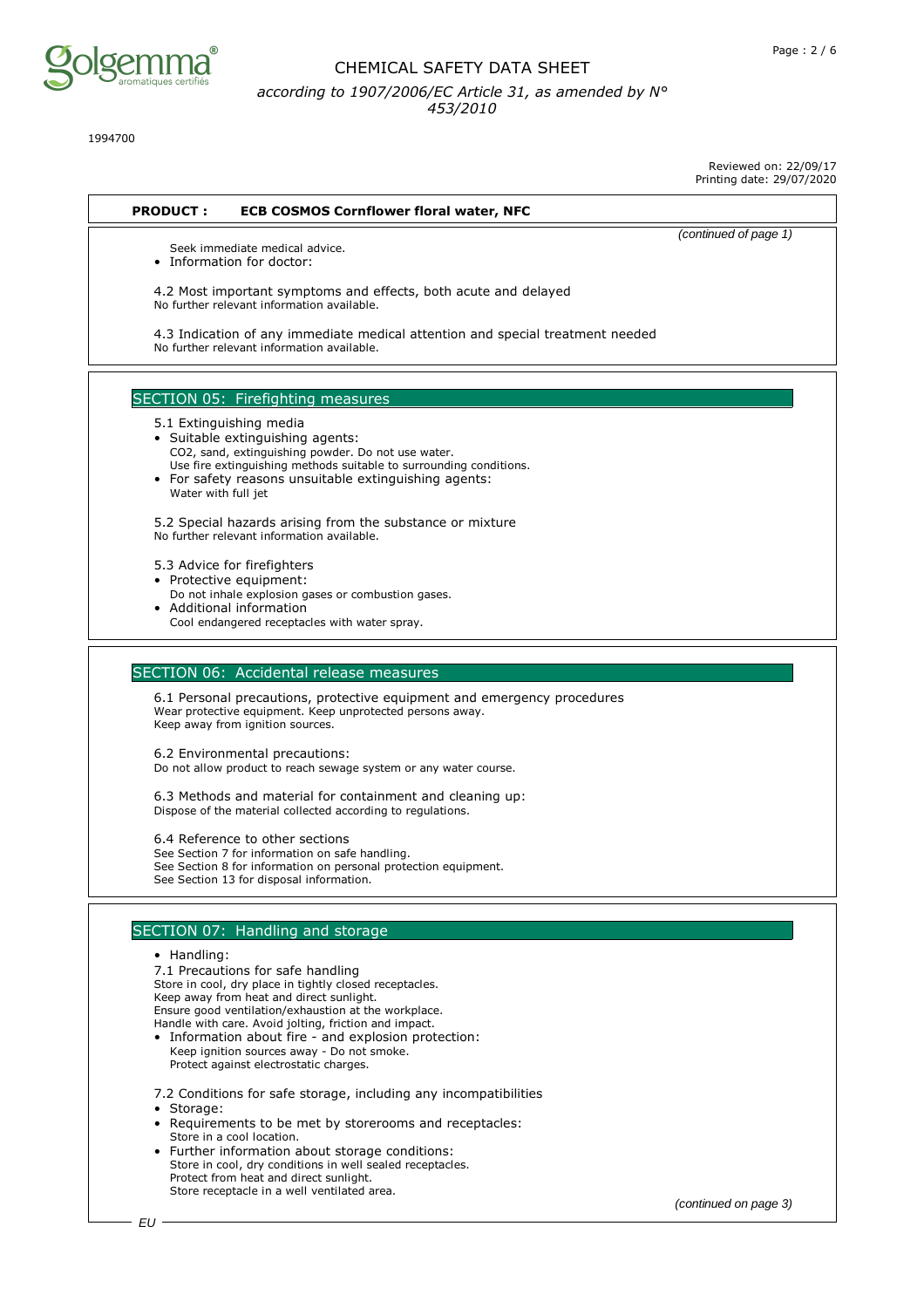

1994700

Reviewed on: 22/09/17

| <b>PRODUCT:</b><br><b>ECB COSMOS Cornflower floral water, NFC</b><br>(continued of page 1)<br>Seek immediate medical advice.<br>• Information for doctor: |  |
|-----------------------------------------------------------------------------------------------------------------------------------------------------------|--|
|                                                                                                                                                           |  |
|                                                                                                                                                           |  |
|                                                                                                                                                           |  |
|                                                                                                                                                           |  |
| 4.2 Most important symptoms and effects, both acute and delayed                                                                                           |  |
| No further relevant information available.                                                                                                                |  |
| 4.3 Indication of any immediate medical attention and special treatment needed                                                                            |  |
| No further relevant information available.                                                                                                                |  |
|                                                                                                                                                           |  |
|                                                                                                                                                           |  |
| SECTION 05: Firefighting measures                                                                                                                         |  |
| 5.1 Extinguishing media                                                                                                                                   |  |
| • Suitable extinguishing agents:                                                                                                                          |  |
| CO2, sand, extinguishing powder. Do not use water.<br>Use fire extinguishing methods suitable to surrounding conditions.                                  |  |
| • For safety reasons unsuitable extinguishing agents:                                                                                                     |  |
| Water with full jet                                                                                                                                       |  |
|                                                                                                                                                           |  |
| 5.2 Special hazards arising from the substance or mixture<br>No further relevant information available.                                                   |  |
|                                                                                                                                                           |  |
| 5.3 Advice for firefighters                                                                                                                               |  |
| • Protective equipment:                                                                                                                                   |  |
| Do not inhale explosion gases or combustion gases.                                                                                                        |  |
| • Additional information<br>Cool endangered receptacles with water spray.                                                                                 |  |
|                                                                                                                                                           |  |
|                                                                                                                                                           |  |
| SECTION 06: Accidental release measures                                                                                                                   |  |
| 6.1 Personal precautions, protective equipment and emergency procedures                                                                                   |  |
| Wear protective equipment. Keep unprotected persons away.                                                                                                 |  |
| Keep away from ignition sources.                                                                                                                          |  |
| 6.2 Environmental precautions:                                                                                                                            |  |
| Do not allow product to reach sewage system or any water course.                                                                                          |  |
|                                                                                                                                                           |  |
| 6.3 Methods and material for containment and cleaning up:                                                                                                 |  |
| Dispose of the material collected according to regulations.                                                                                               |  |
| 6.4 Reference to other sections                                                                                                                           |  |
| See Section 7 for information on safe handling.                                                                                                           |  |
| See Section 8 for information on personal protection equipment.                                                                                           |  |
| See Section 13 for disposal information.                                                                                                                  |  |
|                                                                                                                                                           |  |
| SECTION 07: Handling and storage                                                                                                                          |  |
| • Handling:                                                                                                                                               |  |
| 7.1 Precautions for safe handling                                                                                                                         |  |
| Store in cool, dry place in tightly closed receptacles.                                                                                                   |  |
| Keep away from heat and direct sunlight.<br>Ensure good ventilation/exhaustion at the workplace.                                                          |  |
| Handle with care. Avoid jolting, friction and impact.                                                                                                     |  |
| • Information about fire - and explosion protection:                                                                                                      |  |
| Keep ignition sources away - Do not smoke.                                                                                                                |  |
| Protect against electrostatic charges.                                                                                                                    |  |
| 7.2 Conditions for safe storage, including any incompatibilities                                                                                          |  |
| • Storage:                                                                                                                                                |  |
| • Requirements to be met by storerooms and receptacles:                                                                                                   |  |
| Store in a cool location.                                                                                                                                 |  |
| • Further information about storage conditions:<br>Store in cool, dry conditions in well sealed receptacles.                                              |  |
| Protect from heat and direct sunlight.                                                                                                                    |  |
| Store receptacle in a well ventilated area.                                                                                                               |  |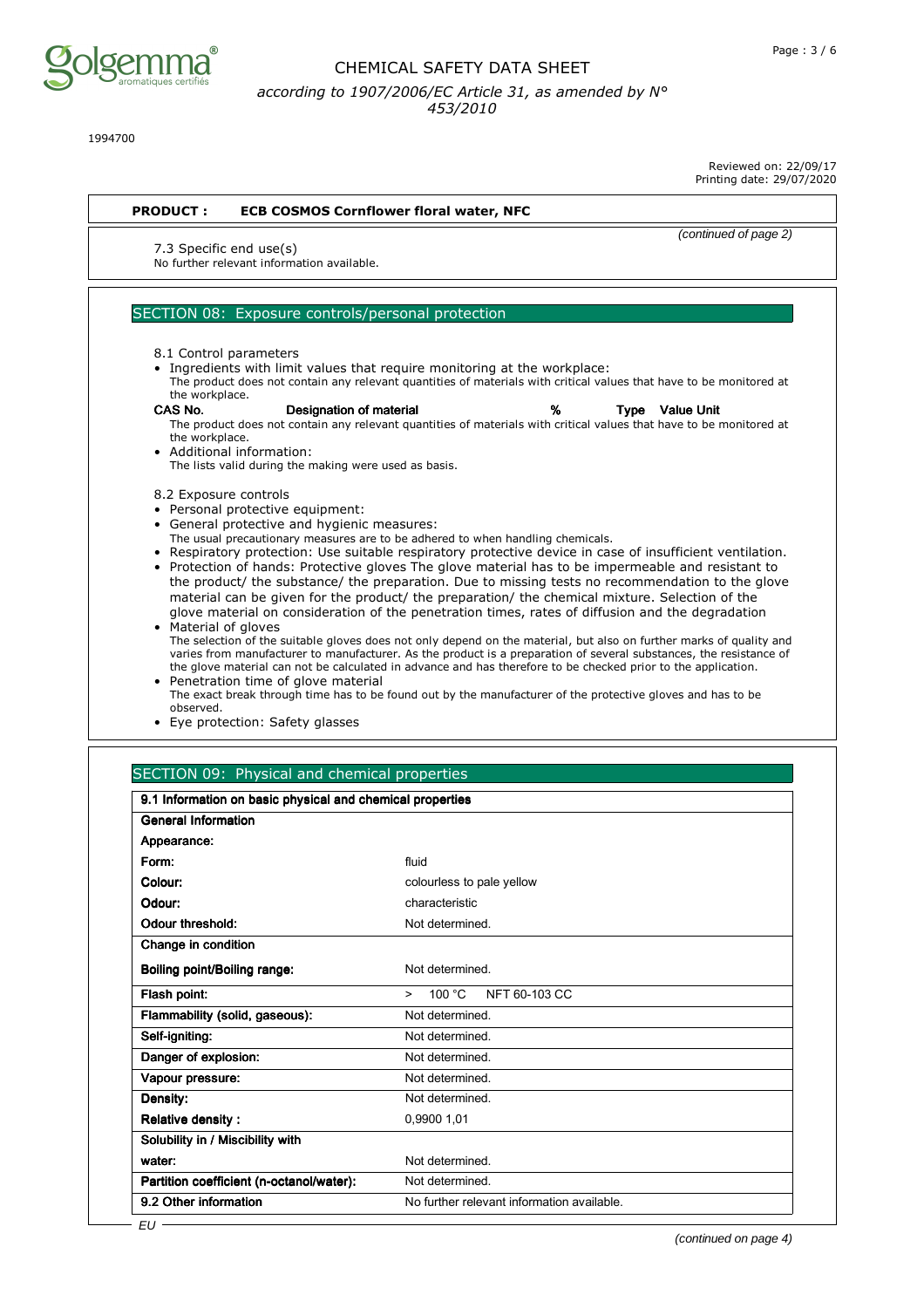

1994700

Reviewed on: 22/09/17 Printing date: 29/07/2020

|                           | 7.3 Specific end use(s)                                                                                                                                                                                                                                                                                                                                                                            | (continued of page 2) |
|---------------------------|----------------------------------------------------------------------------------------------------------------------------------------------------------------------------------------------------------------------------------------------------------------------------------------------------------------------------------------------------------------------------------------------------|-----------------------|
|                           | No further relevant information available.                                                                                                                                                                                                                                                                                                                                                         |                       |
|                           | SECTION 08: Exposure controls/personal protection                                                                                                                                                                                                                                                                                                                                                  |                       |
|                           |                                                                                                                                                                                                                                                                                                                                                                                                    |                       |
|                           | 8.1 Control parameters<br>• Ingredients with limit values that require monitoring at the workplace:                                                                                                                                                                                                                                                                                                |                       |
| the workplace.            | The product does not contain any relevant quantities of materials with critical values that have to be monitored at                                                                                                                                                                                                                                                                                |                       |
| CAS No.<br>the workplace. | Designation of material<br>%<br><b>Type</b> Value Unit<br>The product does not contain any relevant quantities of materials with critical values that have to be monitored at<br>• Additional information:<br>The lists valid during the making were used as basis.                                                                                                                                |                       |
| 8.2 Exposure controls     |                                                                                                                                                                                                                                                                                                                                                                                                    |                       |
|                           | • Personal protective equipment:<br>• General protective and hygienic measures:                                                                                                                                                                                                                                                                                                                    |                       |
|                           | The usual precautionary measures are to be adhered to when handling chemicals.                                                                                                                                                                                                                                                                                                                     |                       |
|                           | • Respiratory protection: Use suitable respiratory protective device in case of insufficient ventilation.<br>• Protection of hands: Protective gloves The glove material has to be impermeable and resistant to                                                                                                                                                                                    |                       |
| • Material of gloves      | the product/ the substance/ the preparation. Due to missing tests no recommendation to the glove<br>material can be given for the product/ the preparation/ the chemical mixture. Selection of the<br>glove material on consideration of the penetration times, rates of diffusion and the degradation                                                                                             |                       |
|                           | The selection of the suitable gloves does not only depend on the material, but also on further marks of quality and<br>varies from manufacturer to manufacturer. As the product is a preparation of several substances, the resistance of<br>the glove material can not be calculated in advance and has therefore to be checked prior to the application.<br>• Penetration time of glove material |                       |
|                           | The exact break through time has to be found out by the manufacturer of the protective gloves and has to be                                                                                                                                                                                                                                                                                        |                       |

- ugh time has to be found out by the manufacturer of the protective glove observed.
- Eye protection: Safety glasses

| 9.1 Information on basic physical and chemical properties |                                             |  |
|-----------------------------------------------------------|---------------------------------------------|--|
| <b>General Information</b>                                |                                             |  |
| Appearance:                                               |                                             |  |
| Form:                                                     | fluid                                       |  |
| Colour:                                                   | colourless to pale yellow                   |  |
| Odour:                                                    | characteristic                              |  |
| Odour threshold:                                          | Not determined.                             |  |
| Change in condition                                       |                                             |  |
| <b>Boiling point/Boiling range:</b>                       | Not determined                              |  |
| Flash point:                                              | 100 $^{\circ}$ C<br>NFT 60-103 CC<br>$\geq$ |  |
| Flammability (solid, gaseous):                            | Not determined                              |  |
| Self-igniting:                                            | Not determined                              |  |
| Danger of explosion:                                      | Not determined                              |  |
| Vapour pressure:                                          | Not determined                              |  |
| Density:                                                  | Not determined                              |  |
| <b>Relative density:</b>                                  | 0.9900 1.01                                 |  |
| Solubility in / Miscibility with                          |                                             |  |
| water:                                                    | Not determined.                             |  |
| Partition coefficient (n-octanol/water):                  | Not determined.                             |  |
| 9.2 Other information                                     | No further relevant information available.  |  |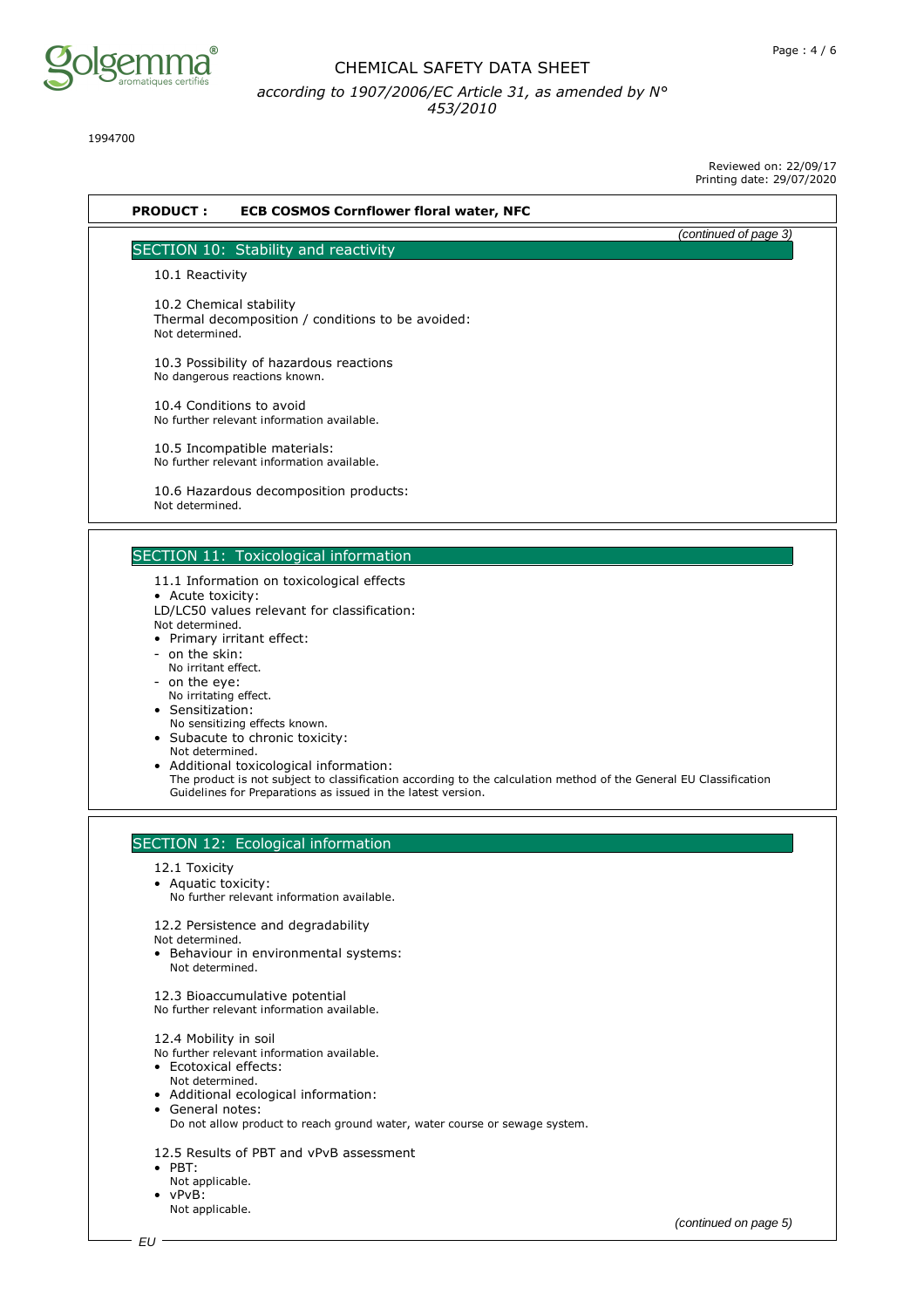

1994700

Reviewed on: 22/09/17

(continued on page 5)

|                                        |                                                                                                                                                                                   | Printing date: 29/07/2020 |
|----------------------------------------|-----------------------------------------------------------------------------------------------------------------------------------------------------------------------------------|---------------------------|
| <b>PRODUCT:</b>                        | <b>ECB COSMOS Cornflower floral water, NFC</b>                                                                                                                                    |                           |
|                                        | SECTION 10: Stability and reactivity                                                                                                                                              | (continued of page 3)     |
| 10.1 Reactivity                        |                                                                                                                                                                                   |                           |
|                                        |                                                                                                                                                                                   |                           |
| Not determined.                        | 10.2 Chemical stability<br>Thermal decomposition / conditions to be avoided:                                                                                                      |                           |
|                                        | 10.3 Possibility of hazardous reactions<br>No dangerous reactions known.                                                                                                          |                           |
|                                        | 10.4 Conditions to avoid<br>No further relevant information available.                                                                                                            |                           |
|                                        | 10.5 Incompatible materials:<br>No further relevant information available.                                                                                                        |                           |
| Not determined.                        | 10.6 Hazardous decomposition products:                                                                                                                                            |                           |
|                                        | SECTION 11: Toxicological information                                                                                                                                             |                           |
|                                        | 11.1 Information on toxicological effects                                                                                                                                         |                           |
| • Acute toxicity:                      | LD/LC50 values relevant for classification:                                                                                                                                       |                           |
| Not determined.                        |                                                                                                                                                                                   |                           |
| - on the skin:                         | • Primary irritant effect:                                                                                                                                                        |                           |
| No irritant effect.                    |                                                                                                                                                                                   |                           |
| - on the eye:<br>No irritating effect. |                                                                                                                                                                                   |                           |
| • Sensitization:                       |                                                                                                                                                                                   |                           |
|                                        | No sensitizing effects known.                                                                                                                                                     |                           |
| Not determined.                        | • Subacute to chronic toxicity:                                                                                                                                                   |                           |
|                                        | • Additional toxicological information:                                                                                                                                           |                           |
|                                        | The product is not subject to classification according to the calculation method of the General EU Classification<br>Guidelines for Preparations as issued in the latest version. |                           |
|                                        | SECTION 12: Ecological information                                                                                                                                                |                           |
| 12.1 Toxicity                          |                                                                                                                                                                                   |                           |
| • Aquatic toxicity:                    |                                                                                                                                                                                   |                           |
|                                        | No further relevant information available.                                                                                                                                        |                           |
|                                        | 12.2 Persistence and degradability                                                                                                                                                |                           |
| Not determined.                        | • Behaviour in environmental systems:                                                                                                                                             |                           |
| Not determined.                        |                                                                                                                                                                                   |                           |
|                                        | 12.3 Bioaccumulative potential<br>No further relevant information available.                                                                                                      |                           |
| 12.4 Mobility in soil                  |                                                                                                                                                                                   |                           |
| • Ecotoxical effects:                  | No further relevant information available.                                                                                                                                        |                           |
| Not determined.                        |                                                                                                                                                                                   |                           |
|                                        | • Additional ecological information:                                                                                                                                              |                           |
| • General notes:                       | Do not allow product to reach ground water, water course or sewage system.                                                                                                        |                           |
|                                        | 12.5 Results of PBT and vPvB assessment                                                                                                                                           |                           |
| $\bullet$ PBT:                         |                                                                                                                                                                                   |                           |
| Not applicable.                        |                                                                                                                                                                                   |                           |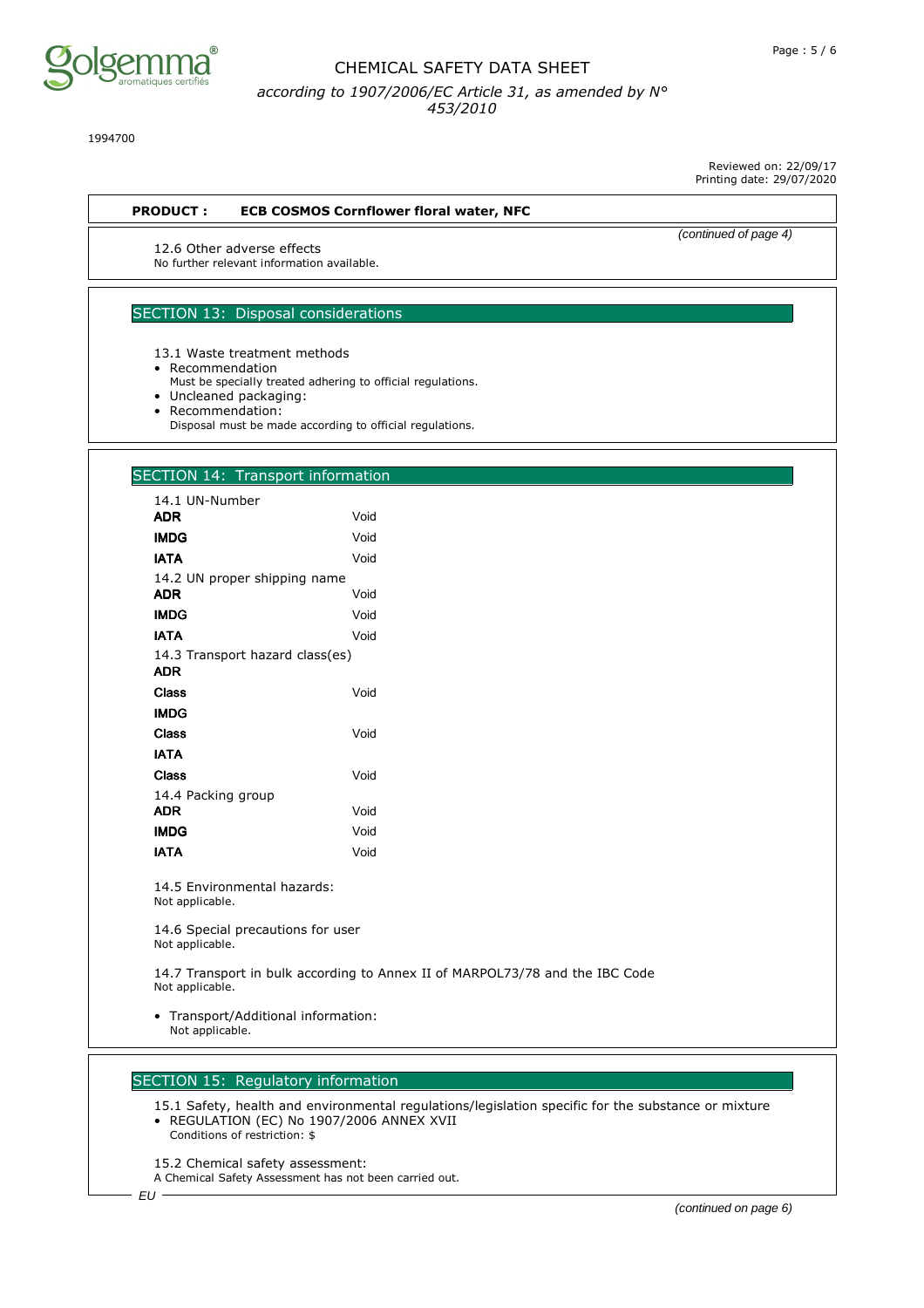

1994700

Reviewed on: 22/09/17 Printing date: 29/07/2020

#### **PRODUCT : ECB COSMOS Cornflower floral water, NFC**

(continued of page 4)

12.6 Other adverse effects No further relevant information available.

# SECTION 13: Disposal considerations

13.1 Waste treatment methods

- Recommendation
	- Must be specially treated adhering to official regulations.
- Uncleaned packaging:
- Recommendation:
- Disposal must be made according to official regulations.

## SECTION 14: Transport information

| 14.1 UN-Number                                |      |
|-----------------------------------------------|------|
| ADR                                           | Void |
| <b>IMDG</b>                                   | Void |
| <b>IATA</b>                                   | Void |
| 14.2 UN proper shipping name                  |      |
| ADR                                           | Void |
| <b>IMDG</b>                                   | Void |
| <b>IATA</b>                                   | Void |
| 14.3 Transport hazard class(es)<br><b>ADR</b> |      |
| Class                                         | Void |
| <b>IMDG</b>                                   |      |
| Class                                         | Void |
| IATA                                          |      |
| Class                                         | Void |
| 14.4 Packing group                            |      |
| <b>ADR</b>                                    | Void |
| <b>IMDG</b>                                   | Void |
| IATA                                          | Void |

14.5 Environmental hazards: Not applicable.

14.6 Special precautions for user Not applicable.

14.7 Transport in bulk according to Annex II of MARPOL73/78 and the IBC Code Not applicable.

• Transport/Additional information: Not applicable.

## SECTION 15: Regulatory information

15.1 Safety, health and environmental regulations/legislation specific for the substance or mixture • REGULATION (EC) No 1907/2006 ANNEX XVII Conditions of restriction: \$

15.2 Chemical safety assessment:

A Chemical Safety Assessment has not been carried out.